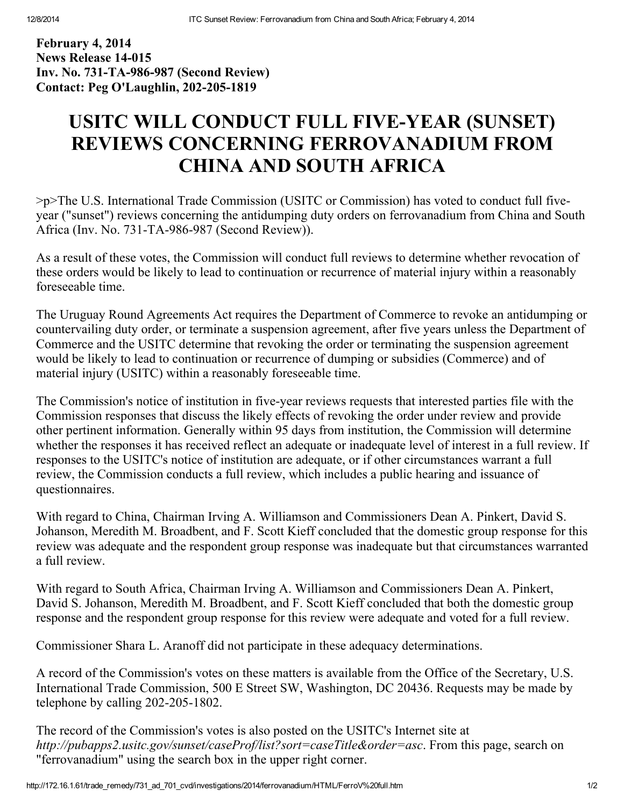February 4, 2014 News Release 14-015 Inv. No. 731-TA-986-987 (Second Review) Contact: Peg O'Laughlin, 202-205-1819

## USITC WILL CONDUCT FULL FIVE-YEAR (SUNSET) REVIEWS CONCERNING FERROVANADIUM FROM CHINA AND SOUTH AFRICA

>p>The U.S. International Trade Commission (USITC or Commission) has voted to conduct full fiveyear ("sunset") reviews concerning the antidumping duty orders on ferrovanadium from China and South Africa (Inv. No. 731-TA-986-987 (Second Review)).

As a result of these votes, the Commission will conduct full reviews to determine whether revocation of these orders would be likely to lead to continuation or recurrence of material injury within a reasonably foreseeable time.

The Uruguay Round Agreements Act requires the Department of Commerce to revoke an antidumping or countervailing duty order, or terminate a suspension agreement, after five years unless the Department of Commerce and the USITC determine that revoking the order or terminating the suspension agreement would be likely to lead to continuation or recurrence of dumping or subsidies (Commerce) and of material injury (USITC) within a reasonably foreseeable time.

The Commission's notice of institution in five-year reviews requests that interested parties file with the Commission responses that discuss the likely effects of revoking the order under review and provide other pertinent information. Generally within 95 days from institution, the Commission will determine whether the responses it has received reflect an adequate or inadequate level of interest in a full review. If responses to the USITC's notice of institution are adequate, or if other circumstances warrant a full review, the Commission conducts a full review, which includes a public hearing and issuance of questionnaires.

With regard to China, Chairman Irving A. Williamson and Commissioners Dean A. Pinkert, David S. Johanson, Meredith M. Broadbent, and F. Scott Kieff concluded that the domestic group response for this review was adequate and the respondent group response was inadequate but that circumstances warranted a full review.

With regard to South Africa, Chairman Irving A. Williamson and Commissioners Dean A. Pinkert, David S. Johanson, Meredith M. Broadbent, and F. Scott Kieff concluded that both the domestic group response and the respondent group response for this review were adequate and voted for a full review.

Commissioner Shara L. Aranoff did not participate in these adequacy determinations.

A record of the Commission's votes on these matters is available from the Office of the Secretary, U.S. International Trade Commission, 500 E Street SW, Washington, DC 20436. Requests may be made by telephone by calling  $202-205-1802$ .

The record of the Commission's votes is also posted on the USITC's Internet site at http://pubapps2.usitc.gov/sunset/caseProf/list?sort=caseTitle&order=asc. From this page, search on "ferrovanadium" using the search box in the upper right corner.